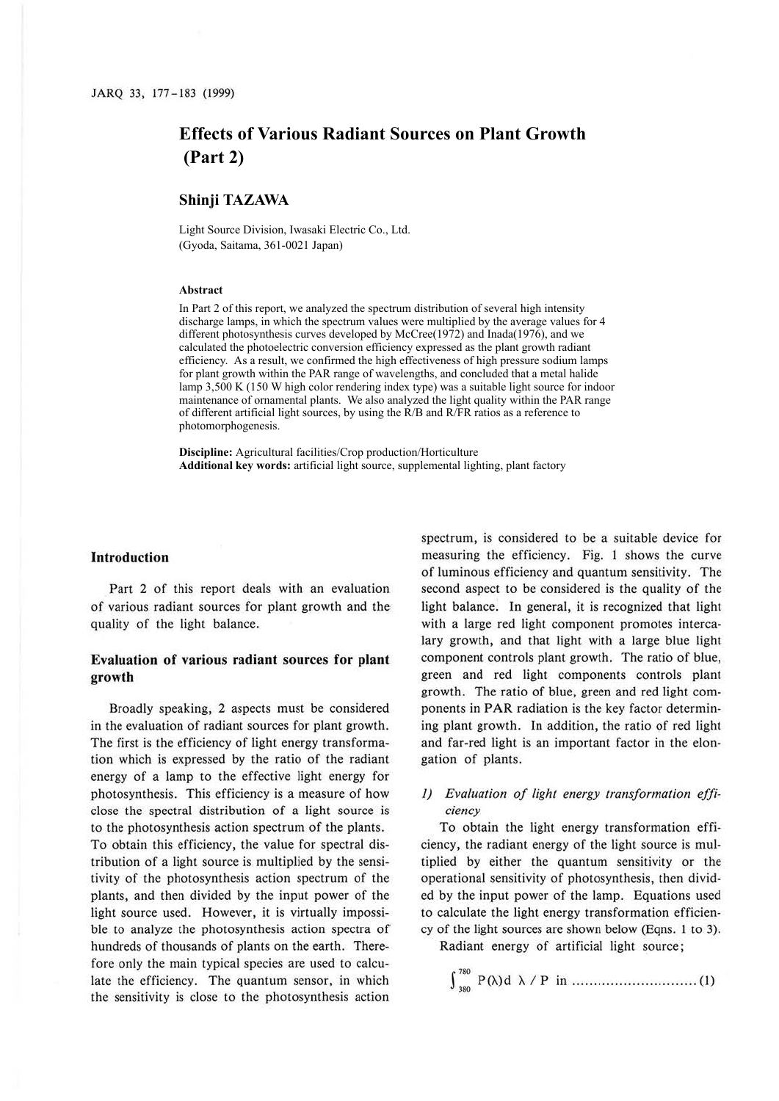# **Effects of Various Radiant Sources on Plant Growth (Part 2)**

## **Shinji TAZAWA**

Light Source Division, Iwasaki Electric Co., Ltd. (Gyoda, Saitama, 361-0021 Japan)

#### **Abstract**

In Part 2 of this report, we analyzed the spectrum distribution of several high intensity discharge lamps, in which the spectrum values were multiplied by the average values for 4 different photosynthesis curves developed by McCree(1972) and Inada(1976), and we calculated the photoelectric conversion efficiency expressed as the plant growth radiant efficiency. As a result, we confirmed the high effectiveness of high pressure sodium lamps for plant growth within the PAR range of wavelengths, and concluded that a metal halide lamp 3,500 K (150 W high color rendering index type) was a suitable light source for indoor maintenance of ornamental plants. We also analyzed the light quality within the PAR range of different artificial light sources, by using the R/B and R/FR ratios as a reference to photomorphogenesis.

**Discipline:** Agricultural facilities/Crop production/Horticulture **Additional key words:** artificial light source, supplemental lighting, plant factory

## **Introduction**

Part 2 of this report deals with an evaluation of various radiant sources for plant growth and the quality of the light balance.

## **Evaluation of various radiant sources for plant growth**

Broadly speaking, 2 aspects must be considered in the evaluation of radiant sources for plant growth. The first is the efficiency of light energy transformation which is expressed by the ratio of the radiant energy of a lamp to the effective light energy for photosynthesis. This efficiency is a measure of how close the spectral distribution of a light source is to the photosynthesis action spectrum of the plants. To obtain this efficiency, the value for spectral distribution of a light source is multiplied by the sensitivity of the photosynthesis action spectrum of the plants, and then divided by the input power of the light source used. However, it is virtually impossible to analyze the photosynthesis action spectra of hundreds of thousands of plants on the earth. Therefore only the main typical species are used to calculate the efficiency. The quantum sensor, in which the sensitivity is close to the photosynthesis action

spectrum, is considered to be a suitable device for measuring the efficiency. Fig. **1** shows the curve of luminous efficiency and quantum sensitivity. The second aspect to be considered is the quality of the light balance. In general, it is recognized that light with a large red light component promotes intercalary growth, and that light with a large blue light component controls plant growth. The ratio of blue, green and red light components controls plant growth. The ratio of blue, green and red light components in PAR radiation is the key factor determining plant growth. In addition, the ratio of red light and far-red light is an important factor in the elongation of plants.

# 1) Evaluation of light energy transformation effi*ciency*

To obtain the light energy transformation efficiency, the radiant energy of the light source is multiplied by either the quantum sensitivity or the operational sensitivity of photosynthesis, then divided by the input power of the lamp. Equations used to calculate the light energy transformation efficiency of the light sources are shown below (Eqns. 1 to 3).

Radiant energy of artificial light source;

J 730 330 P(>-.)d >-. / P in ................... .. ........ (1)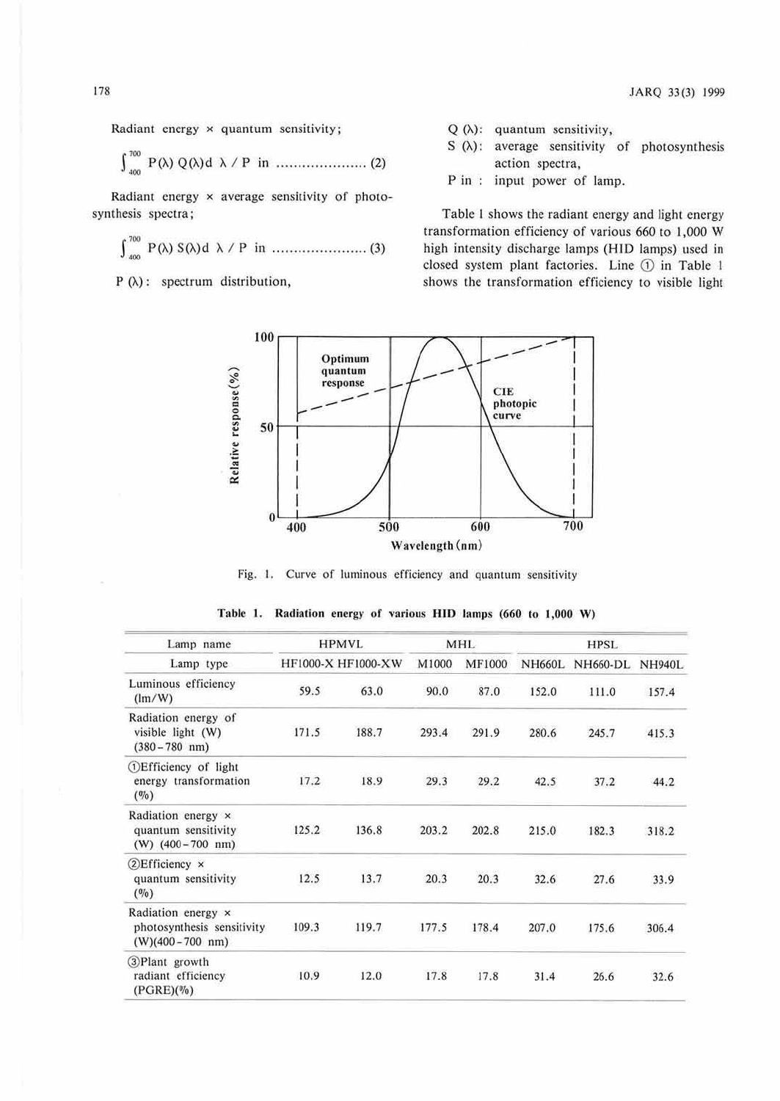JARQ 33(3) 1999

Radiant energy 
$$
\times
$$
 quantum sensitivity;

<sup>r</sup>,oo J P(>-.)Q(>-.)d >-./Pin ..................... (2) JOO

Radiant energy  $\times$  average sensitivity of photo-synthesis spectra;

c: P(A) S(A)d >-. / P in ...................... (3)

 $P(\lambda)$ : spectrum distribution,

- $Q(\lambda)$ : quantum sensitivity,
- $S(\lambda)$ : average sensitivity of photosynthesis action spectra,
- P in : input power of lamp.

Table 1 shows the radiant energy and light energy transformation efficiency of various 660 to 1,000 W high intensity discharge lamps (HID lamps) used in closed system plant factories. Line ① in Table 1 shows the transformation efficiency to visible light



Fig. I. Curve of luminous efficiency and quantum sensitivity

| Lamp name                                                              |       | <b>HPMVL</b>              |       | <b>MHL</b>    |               | <b>HPSL</b>     |                |
|------------------------------------------------------------------------|-------|---------------------------|-------|---------------|---------------|-----------------|----------------|
| Lamp type                                                              |       | <b>HF1000-X HF1000-XW</b> | M1000 | <b>MF1000</b> | <b>NH660L</b> | <b>NH660-DL</b> | NH940L         |
| Luminous efficiency<br>(lm/W)                                          | 59.5  | 63.0                      | 90.0  | 87.0          | 152.0         | 111.0           | 157.4          |
| Radiation energy of<br>visible light (W)<br>$(380 - 780$ nm)           | 171.5 | 188.7                     | 293.4 | 291.9         | 280.6         | 245.7           | 415.3          |
| <b>(1)</b> Efficiency of light<br>energy transformation<br>(9/0)       | 17.2  | 18.9                      | 29.3  | 29.2          | 42.5          | 37.2            | 44.2           |
| Radiation energy x<br>quantum sensitivity<br>$(W)$ (400 – 700 nm)      | 125.2 | 136.8                     | 203.2 | 202.8         | 215.0         | 182.3           | 318.2          |
| $\sqrt{2}$ Efficiency $\times$<br>quantum sensitivity<br>(0/0)         | 12.5  | 13.7                      | 20.3  | 20.3          | 32.6          | 27.6            | 325552<br>33.9 |
| Radiation energy x<br>photosynthesis sensitivity<br>$(W)(400-700)$ nm) | 109.3 | 119.7                     | 177.5 | 178.4         | 207.0         | 175.6           | 306.4          |
| 3) Plant growth<br>radiant efficiency<br>$(PGRE)(\%)$                  | 10.9  | 12.0                      | 17.8  | 17.8          | 31.4          | 26.6            | 32.6           |

| Table 1. Radiation energy of various HID lamps (660 to 1,000 W) |  |  |
|-----------------------------------------------------------------|--|--|
|-----------------------------------------------------------------|--|--|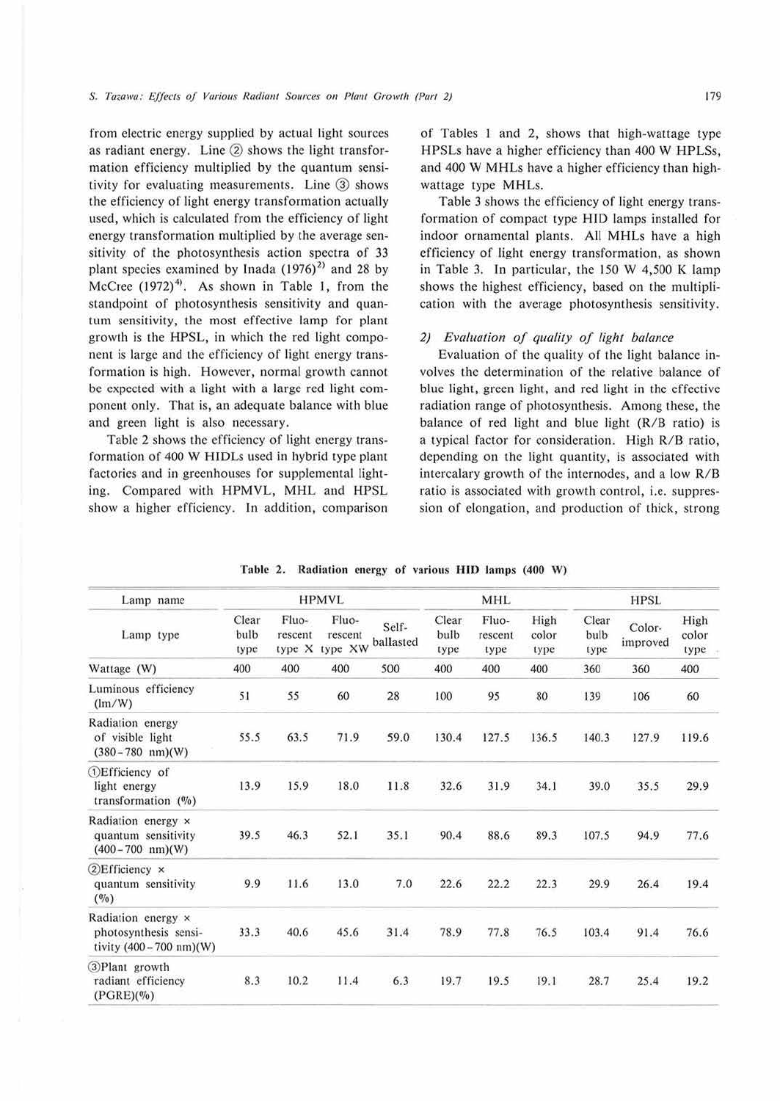from electric energy supplied by actual light sources as radiant energy. Line  $(2)$  shows the light transformation efficiency multiplied by the quantum sensitivity for evaluating measurements. Line  $(3)$  shows the efficiency of light energy transformation actually used, which is calculated from the efficiency of light energy transformation multiplied by the average sensitivity of the photosynthesis action spectra of 33 plant species examined by Inada  $(1976)^2$  and 28 by McCree  $(1972)^4$ . As shown in Table 1, from the standpoint of photosynthesis sensitivity and quantum sensitivity, the most effective lamp for plam growth is the HPSL, in which the red light component is large and the efficiency of light energy transformation is high. However, normal growth cannot be expected with a light with a large red light component only. That is, an adequate balance with blue and green light is also necessary.

Table 2 shows the efficiency of light energy transformation of 400 W HIDLs used in hybrid type plant factories and in greenhouses for supplemental lighting. Compared with HPMVL, MHL and HPSL show a higher efficiency. In addition, comparison

of Tables I and 2, shows that high-wattage type HPSLs have a higher efficiency than 400 W HPLSs, and 400 W MHLs have a higher efficiency than highwattage type MHLs.

Table 3 shows the efficiency of light energy transformation of compact type HID lamps installed for indoor ornamental plants. All MHLs have a high efficiency of light energy transformation, as shown in Table 3. In particular, the 150 W 4,500 K lamp shows the highest efficiency, based on the multiplication with the average photosynthesis sensitivity.

#### *2) Evaluation of quality of light balance*

Evaluation of the quality of the light balance involves the determination of the relative balance of blue light, green light, and red light in the effective radiation range of photosynthesis. Among these, the balance of red light and blue light (R/B ratio) is a typical factor for consideration. High R/B ratio, depending on the light quantity, is associated with intercalary growth of the internodes, and a low R/B ratio is associated with growth control, i.e. suppression of elongation, and production of thick, strong

| Lamp name                                                                         |                       |                            | <b>HPMVL</b>                |                    |                       | <b>MHL</b>               |                       | <b>HPSL</b>           |                    |                       |  |  |
|-----------------------------------------------------------------------------------|-----------------------|----------------------------|-----------------------------|--------------------|-----------------------|--------------------------|-----------------------|-----------------------|--------------------|-----------------------|--|--|
| Lamp type                                                                         | Clear<br>bulb<br>type | Fluo-<br>rescent<br>type X | Fluo-<br>rescent<br>type XW | Self-<br>ballasted | Clear<br>bulb<br>type | Fluo-<br>rescent<br>type | High<br>color<br>type | Clear<br>bulb<br>type | Color-<br>improved | High<br>color<br>type |  |  |
| Wattage (W)                                                                       | 400                   | 400                        | 400                         | 500                | 400                   | 400                      | 400                   | 360                   | 360                | 400                   |  |  |
| Luminous efficiency<br>(lm/W)                                                     | 51                    | 55                         | 60                          | 28                 | 100                   | 95                       | 80                    | 139                   | 106                | 60                    |  |  |
| Radiation energy<br>of visible light<br>$(380-780 nm)(W)$                         | 55.5                  | 63.5                       | 71.9                        | 59.0               | 130.4                 | 127.5                    | 136.5                 | 140.3                 | 127.9              | 119.6                 |  |  |
| (1) Efficiency of<br>light energy<br>transformation $(\%)$                        | 13.9                  | 15.9                       | 18.0                        | 11.8               | 32.6                  | 31.9                     | 34.1                  | 39.0                  | 35.5               | 29.9                  |  |  |
| Radiation energy x<br>quantum sensitivity<br>$(400 - 700$ nm $)(W)$               | 39.5                  | 46.3                       | 52.1                        | 35.1               | 90.4                  | 88.6                     | 89.3                  | 107.5                 | 94.9               | 77.6                  |  |  |
| $\mathcal{D}$ Efficiency $\times$<br>quantum sensitivity<br>(0/0)                 | 9.9                   | 11.6                       | 13.0                        | 7.0                | 22.6                  | 22.2                     | 22.3                  | 29.9                  | 26.4               | 19.4                  |  |  |
| Radiation energy x<br>photosynthesis sensi-<br>tivity $(400 - 700 \text{ nm})(W)$ | 33.3                  | 40.6                       | 45.6                        | 31.4               | 78.9                  | 77.8                     | 76.5                  | 103.4                 | 91.4               | 76.6                  |  |  |
| 3)Plant growth<br>radiant efficiency<br>$(PGRE)(\%)$                              | 8.3                   | 10.2                       | 11.4                        | 6.3                | 19.7                  | 19.5                     | 19.1                  | 28.7                  | 25.4               | 19.2                  |  |  |

Table 2. Radiation energy of various **HID** lamps (400 W)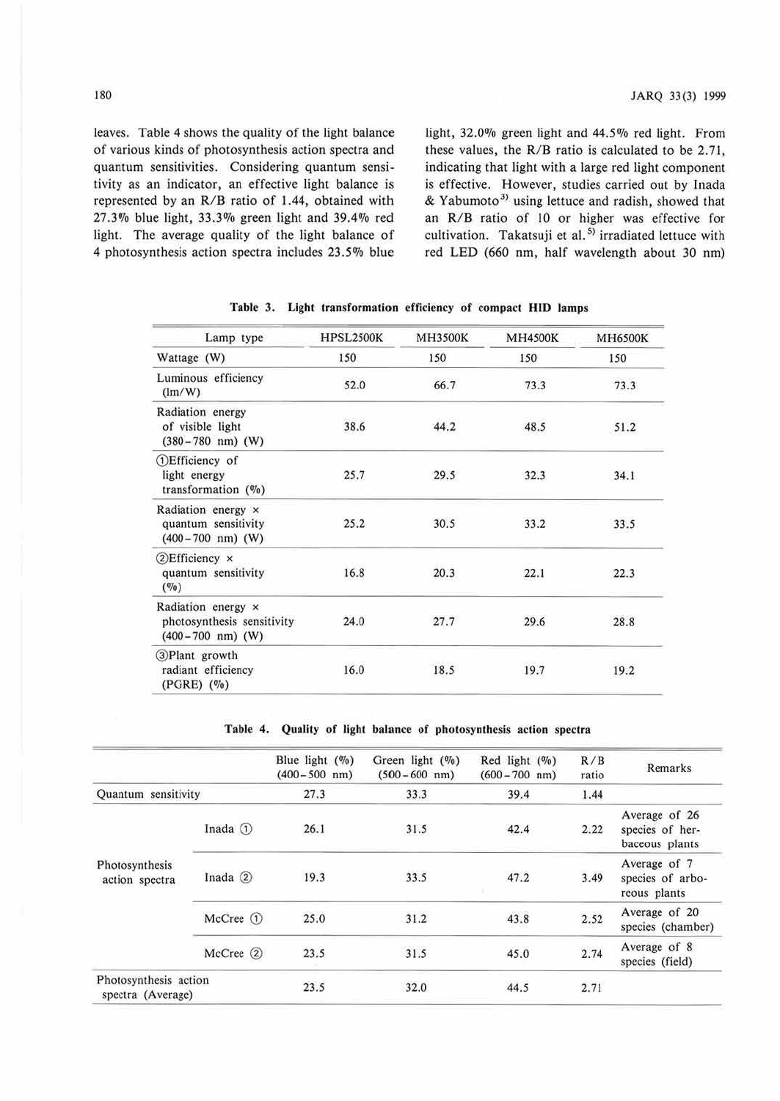leaves. Table 4 shows the quality of the light balance of various kinds of photosynthesis action spectra and quantum sensitivities. Considering quantum sensitivity as an indicator, an effective light balance is represented by an R/B ratio of 1.44, obtained with 27.3% blue light, 33.3% green light and 39.4% red light. The average quality of the light balance of 4 photosynthesis action spectra includes 23.5% blue light, 32.0% green light and 44.5% red light. From these values, the  $R/B$  ratio is calculated to be 2.71, indicating that light with a large red light component is effective. However, studies carried out by Inada & Yabumoto<sup>3)</sup> using lettuce and radish, showed that an R/B ratio of 10 or higher was effective for cultivation. Takatsuji et al.<sup>5)</sup> irradiated lettuce with red LED (660 nm, half wavelength about 30 nm)

| Lamp type                                                                      | <b>HPSL2500K</b> | <b>MH3500K</b> | <b>MH4500K</b> | <b>MH6500K</b> |  |
|--------------------------------------------------------------------------------|------------------|----------------|----------------|----------------|--|
| Wattage (W)                                                                    | 150              | 150            | 150            | 150            |  |
| Luminous efficiency<br>$(\text{lm/W})$                                         | 52.0             | 66.7           | 73.3           | 73.3           |  |
| Radiation energy<br>of visible light<br>$(380-780$ nm) (W)                     | 38.6             | 44.2           | 48.5           | 51.2           |  |
| <b>DEfficiency</b> of<br>light energy<br>transformation $(\%)$                 | 25.7             | 29.5           | 32.3           | 34.1           |  |
| Radiation energy ×<br>quantum sensitivity<br>$(400-700)$ nm) (W)               | 25.2             | 30.5           | 33.2           | 33.5           |  |
| $\bigcirc$ Efficiency $\times$<br>quantum sensitivity<br>$($ %)                | 16.8             | 20.3           | 22.1           | 22.3           |  |
| Radiation energy x<br>photosynthesis sensitivity<br>$(400-700 \text{ nm})$ (W) | 24.0             | 27.7           | 29.6           | 28.8           |  |
| 3)Plant growth<br>radiant efficiency<br>$(PGRE)$ $(\%)$                        | 16.0             | 18.5           | 19.7           | 19.2           |  |

Table 3. Light transformation efficiency of compact HID lamps

Table 4. Quality of light balance of photosynthesis action spectra

|                                            |               | Blue light $(\%)$<br>$(400 - 500)$ nm) | Green light $(\%)$<br>$(500 - 600)$ nm) | Red light $(\%)$<br>$(600 - 700)$ nm) | R/B<br>ratio | Remarks                                            |
|--------------------------------------------|---------------|----------------------------------------|-----------------------------------------|---------------------------------------|--------------|----------------------------------------------------|
| Quantum sensitivity                        |               | 27.3                                   | 33.3                                    | 39.4                                  | 1.44         |                                                    |
|                                            | Inada $\odot$ | 26.1                                   | 31.5                                    | 42.4                                  | 2.22         | Average of 26<br>species of her-<br>baceous plants |
| Photosynthesis<br>action spectra           | Inada $(2)$   | 19.3                                   | 33.5                                    | 47.2                                  | 3.49         | Average of 7<br>species of arbo-<br>reous plants   |
|                                            | $McCree$ (1)  | 25.0                                   | 31.2                                    | 43.8                                  | 2.52         | Average of 20<br>species (chamber)                 |
|                                            | McCree 2      | 23.5                                   | 31.5                                    | 45.0                                  | 2.74         | Average of 8<br>species (field)                    |
| Photosynthesis action<br>spectra (Average) |               | 23.5                                   | 32.0                                    | 44.5                                  | 2.71         |                                                    |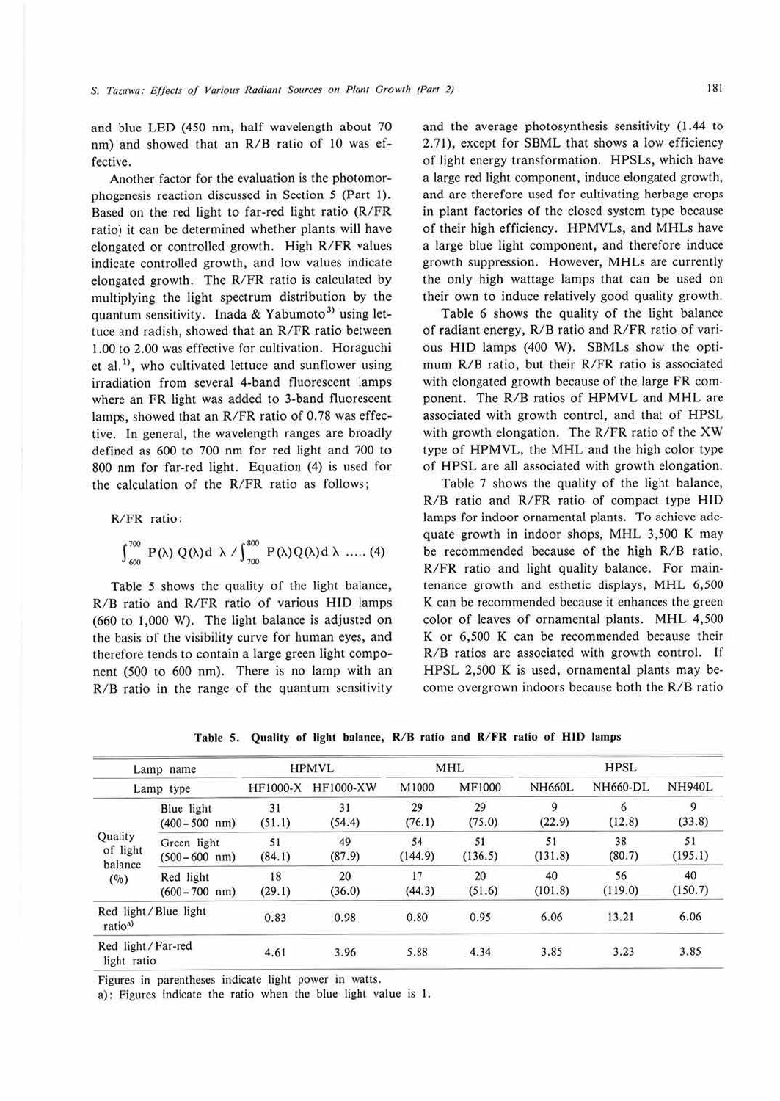and blue LED (450 nm, half wavelength about 70 nm) and showed that an R/8 ratio of 10 was effective.

Another factor for the evaluation is the photomorphogenesis reaction discussed in Section *5* (Part I). Based on the red light to far-red light ratio (R/FR ratio) it can be determined whether plants will have elongated or controlled growth. High R/FR values indicate controlled growth, and low values indicate elongated growth. The R/FR ratio is calculated by multiplying the light spectrum distribution by the quantum sensitivity. Inada & Yabumoto<sup>3)</sup> using lettuce and radish, showed that an R/FR ratio between 1.00 to 2.00 was effective for cultivation. Horaguchi et al.<sup>1)</sup>, who cultivated lettuce and sunflower using irradiation from several 4-band fluorescent lamps where an FR light was added to 3-band fluorescent lamps, showed that an R/FR ratio of 0.78 was effective. In general, the wavelength ranges are broadly defined as 600 to 700 nm for red light and 700 to 800 nm for far-red light. Equation (4) is used for the calculation of the R/FR ratio as follows;

R/FR ratio:

$$
\int_{600}^{700} P(\lambda) Q(\lambda) d\ \lambda \ / \int_{700}^{800} P(\lambda) Q(\lambda) d\ \lambda \ \ .... (4)
$$

Table *5* shows the quality of the light balance, R/8 ratio and R/FR ratio of various HID lamps (660 to 1,000 W). The light balance is adjusted on the basis of the visibility curve for human eyes, and therefore tends to contain a large green light component (500 to 600 nm). There is no lamp with an  $R/B$  ratio in the range of the quantum sensitivity and the average photosynthesis sensitivity (1.44 to 2.71), except for SBML that shows a low efficiency of light energy transformation. HPSLs, which have a large red light component, induce elongated growth, and are therefore used for cultivating herbage crops in plant factories of the closed system type because of their high efficiency. HPMVLs, and MHLs have a large blue light component, and therefore induce growth suppression. However, MHLs are currently the only high wattage lamps that can be used on their own to induce relatively good quality growth.

Table 6 shows the quality of the light balance of radiant energy, R/B ratio and R/FR ratio of various HID lamps (400 W). SBMLs show the optimum *RIB* ratio, but their R/FR ratio is associated with elongated growth because of the large FR component. The R/8 ratios of HPMVL and MHL are associated with growth control, and that of HPSL with growth elongation. The R/FR ratio of the XW type of HPMVL, the MHL and the high color type of HPSL are all associated with growth elongation .

Table 7 shows the quality of the light balance, R/8 ratio and R/FR ratio of compact type HID lamps for indoor ornamental plants. To achieve adequate growth in indoor shops, MHL 3,500 **K** may be recommended because of the high R/8 ratio, R/FR ratio and light quality balance. For maintenance growth and esthetic displays, MHL 6,500 **K** can be recommended because it enhances the green color of leaves of ornamental plants. MHL 4,500 K or 6,500 **K** can be recommended because their R/8 ratios are associated with growth control. If HPSL 2,500 **K** is used, ornamental plants may become overgrown indoors because both the R/B ratio

|                                  | Lamp name                        |              | <b>HPMVL</b> |               | MHL           | <b>HPSL</b><br><b>NH660L</b><br>NH660-DL<br>9<br>6<br>(12.8)<br>(22.9)<br>38<br>51<br>(131.8)<br>(80.7)<br>56<br>40<br>(101.8)<br>(119.0) |               |               |  |
|----------------------------------|----------------------------------|--------------|--------------|---------------|---------------|-------------------------------------------------------------------------------------------------------------------------------------------|---------------|---------------|--|
| Lamp type                        |                                  | HF1000-X     | HF1000-XW    | M1000         | MF1000        |                                                                                                                                           |               | <b>NH940L</b> |  |
|                                  | Blue light<br>$(400 - 500$ nm)   | 31<br>(51.1) | 31<br>(54.4) | 29<br>(76.1)  | 29<br>(75.0)  |                                                                                                                                           |               | 9<br>(33.8)   |  |
| Quality<br>of light              | Green light<br>$(500 - 600)$ nm) | 51<br>(84.1) | 49<br>(87.9) | 54<br>(144.9) | 51<br>(136.5) |                                                                                                                                           | 13.21<br>3.23 | 51<br>(195.1) |  |
| balance<br>(0/0)                 | Red light<br>$(600 - 700$ nm)    | 18<br>(29.1) | 20<br>(36.0) | 17<br>(44.3)  | 20<br>(51.6)  |                                                                                                                                           |               | 40<br>(150.7) |  |
| ratio <sup>a</sup>               | Red light/Blue light             | 0.83         | 0.98         | 0.80          | 0.95          | 6.06                                                                                                                                      |               | 6.06          |  |
| Red light/Far-red<br>light ratio |                                  | 4.61         | 3.96         | 5.88          | 4.34          | 3.85                                                                                                                                      |               | 3.85          |  |

Table 5. Quality of light balance, **R/ 8** ratio and **R/ FR** ratio of **HID** lamps

Figures in parentheses indicate light power in watts.

a): Figures indicate the ratio when the blue light value is I.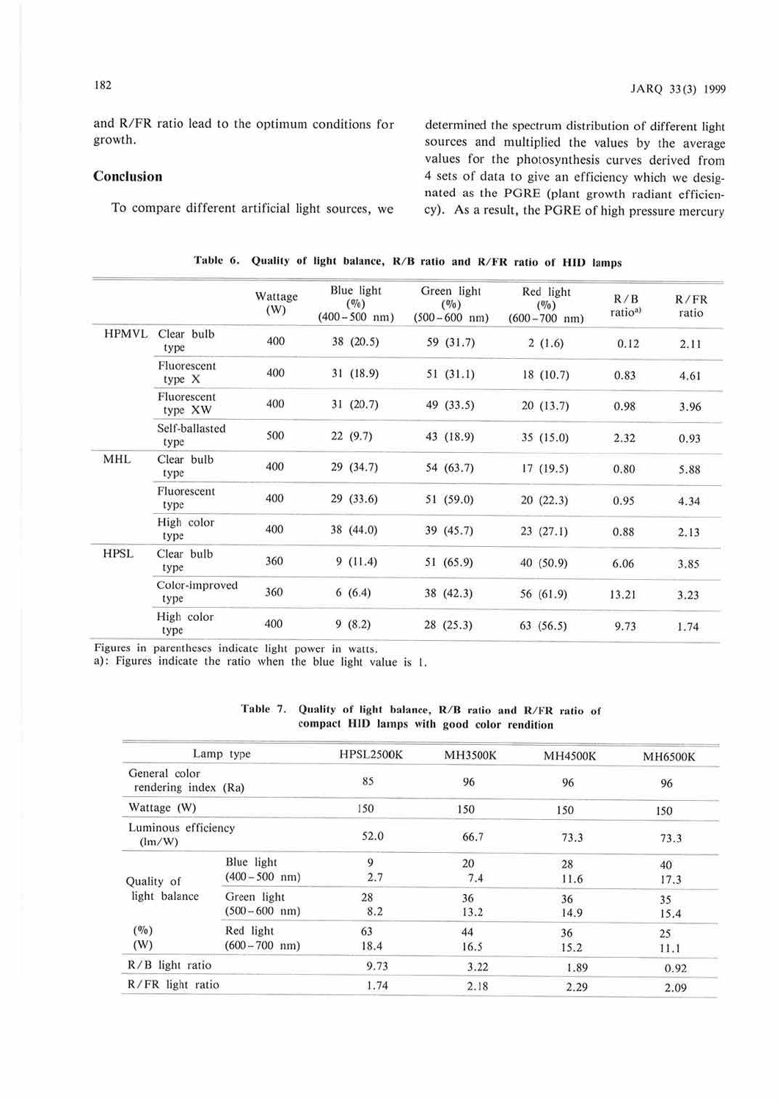and R/FR ratio lead to the optimum conditions for growth.

## Conclusion

To compare different artificial light sources, we

determined the spectrum distribution of different light sources and multiplied the values by the average values for the photosynthesis curves derived from 4 sets of data to give an efficiency which we designated as the PGRE (plant growth radiant efficiency). As a result, the PORE of high pressure mercury

|              |                        | Wattage<br>(W) | Blue light<br>$($ %)<br>$(400 - 500)$ nm) | Green light<br>$(\%)$<br>$(500 - 600 \text{ nm})$ | Red light<br>$(\frac{\theta}{\theta})$<br>$(600 - 700)$ nm) | R/B<br>ratio <sup>a)</sup> | $R$ / $FR$<br>ratio |
|--------------|------------------------|----------------|-------------------------------------------|---------------------------------------------------|-------------------------------------------------------------|----------------------------|---------------------|
| <b>HPMVL</b> | Clear bulb<br>type     | 400            | 38 (20.5)                                 | 59 (31.7)                                         | 2(1.6)                                                      | 0.12                       | 2.11                |
|              | Fluorescent<br>type X  | 400            | 31(18.9)                                  | 51(31.1)                                          | 18 (10.7)                                                   | 0.83                       | 4.61                |
|              | Fluorescent<br>type XW | 400            | 31(20.7)                                  | 49 (33.5)                                         | 20 (13.7)                                                   | 0.98                       | 3.96                |
|              | Self-ballasted<br>type | 500            | 22(9.7)                                   | 43 (18.9)                                         | 35(15.0)                                                    | 2.32                       | 0.93                |
| <b>MHL</b>   | Clear bulb<br>type     | 400            | 29 (34.7)                                 | 54 (63.7)                                         | 17(19.5)                                                    | 0.80                       | 5.88                |
|              | Fluorescent<br>type    | 400            | 29(33.6)                                  | 51 (59.0)                                         | 20(22.3)                                                    | 0.95                       | 4.34                |
|              | High color<br>type     | 400            | 38 (44.0)                                 | 39 (45.7)                                         | 23(27.1)                                                    | 0.88                       | 2.13                |
| <b>HPSL</b>  | Clear bulb<br>type.    | 360            | 9(11.4)                                   | 51 (65.9)                                         | 40 (50.9)                                                   | 6.06                       | 3.85                |
|              | Color-improved<br>type | 360            | 6(6.4)                                    | 38(42.3)                                          | 56 (61.9)                                                   | 13.21                      | 3.23                |
|              | High color<br>type     | 400            | 9(8.2)                                    | 28(25.3)                                          | 63(56.5)                                                    | 9.73                       | 1.74                |

| Table 6. Quality of light balance, R/B ratio and R/FR ratio of HID lamps |  |  |  |  |  |  |  |  |  |  |  |  |  |  |  |  |  |
|--------------------------------------------------------------------------|--|--|--|--|--|--|--|--|--|--|--|--|--|--|--|--|--|
|--------------------------------------------------------------------------|--|--|--|--|--|--|--|--|--|--|--|--|--|--|--|--|--|

Figures in parentheses indicate light power in watts.

a): Figures indicate the ratio when the blue light value is I.

|                                       | Lamp type                               | <b>HPSL2500K</b> | <b>MH3500K</b>                           | <b>MH4500K</b> | <b>MH6500K</b> |  |
|---------------------------------------|-----------------------------------------|------------------|------------------------------------------|----------------|----------------|--|
| General color<br>rendering index (Ra) |                                         | 85               | 96                                       | 96             | 96             |  |
| Wattage (W)                           |                                         | 150              | 150                                      | 150            | 150            |  |
| Luminous efficiency<br>(lm/W)         |                                         | 52.0             | 66.7                                     | 73.3           | 73.3           |  |
| Quality of                            | Blue light<br>$(400 - 500$ nm)          | 9<br>2.7         | 20<br>7.4                                | 28<br>11.6     | 40<br>17.3     |  |
| light balance                         | Green light<br>$(500 - 600 \text{ nm})$ | 28<br>8.2        | 36<br>13.2                               | 36<br>14.9     | 35<br>15.4     |  |
| $(\frac{0}{0})$<br>(W)                | Red light<br>$(600 - 700$ nm)           | 63<br>18.4       | 44<br>36<br>16.5<br>15.2<br>3.22<br>1.89 | 25<br>11.1     |                |  |
| R/B light ratio                       |                                         | 9.73             |                                          |                | 0.92           |  |
| R/FR light ratio                      |                                         | 1.74             | 2.18                                     | 2.29           | 2.09           |  |

Table 7. Quality of light balance, R/B ratio and R/FR ratio of compact **HID** lamps with good color rendition